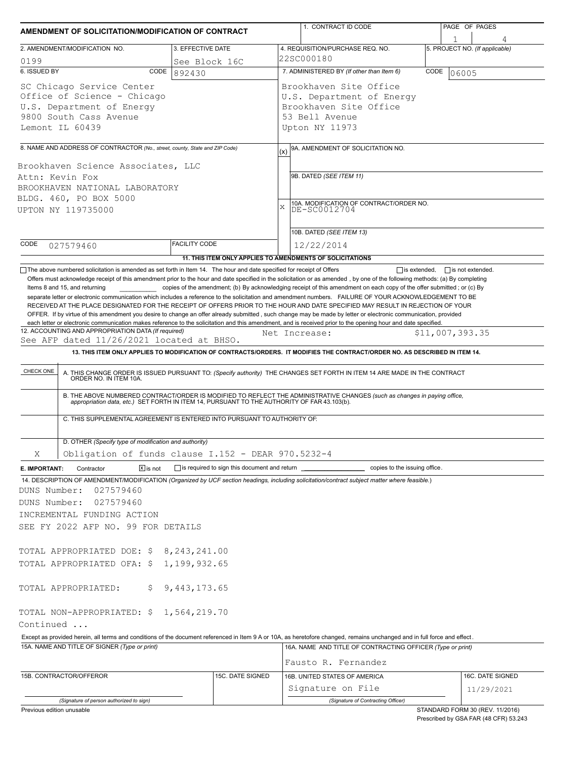| AMENDMENT OF SOLICITATION/MODIFICATION OF CONTRACT                                                                                 |                   |                                                                          | 1. CONTRACT ID CODE                                                                                                                                                                                                                                                                                                                                                                                                                                                                 | PAGE OF PAGES                  |  |
|------------------------------------------------------------------------------------------------------------------------------------|-------------------|--------------------------------------------------------------------------|-------------------------------------------------------------------------------------------------------------------------------------------------------------------------------------------------------------------------------------------------------------------------------------------------------------------------------------------------------------------------------------------------------------------------------------------------------------------------------------|--------------------------------|--|
| 2. AMENDMENT/MODIFICATION NO.                                                                                                      |                   | 3. EFFECTIVE DATE                                                        | 4. REQUISITION/PURCHASE REQ. NO.                                                                                                                                                                                                                                                                                                                                                                                                                                                    | 5. PROJECT NO. (If applicable) |  |
| 0199                                                                                                                               |                   | See Block 16C                                                            | 22SC000180                                                                                                                                                                                                                                                                                                                                                                                                                                                                          |                                |  |
| 6. ISSUED BY                                                                                                                       | CODE<br>892430    |                                                                          | 7. ADMINISTERED BY (If other than Item 6)                                                                                                                                                                                                                                                                                                                                                                                                                                           | CODE<br>06005                  |  |
| SC Chicago Service Center<br>Office of Science - Chicago<br>U.S. Department of Energy<br>9800 South Cass Avenue<br>Lemont IL 60439 |                   |                                                                          | Brookhaven Site Office<br>U.S. Department of Energy<br>Brookhaven Site Office<br>53 Bell Avenue<br>Upton NY 11973                                                                                                                                                                                                                                                                                                                                                                   |                                |  |
|                                                                                                                                    |                   |                                                                          |                                                                                                                                                                                                                                                                                                                                                                                                                                                                                     |                                |  |
| 8. NAME AND ADDRESS OF CONTRACTOR (No., street, county, State and ZIP Code)<br>Brookhaven Science Associates, LLC                  |                   |                                                                          | 9A. AMENDMENT OF SOLICITATION NO.<br>(x)                                                                                                                                                                                                                                                                                                                                                                                                                                            |                                |  |
| Attn: Kevin Fox                                                                                                                    |                   |                                                                          | 9B. DATED (SEE ITEM 11)                                                                                                                                                                                                                                                                                                                                                                                                                                                             |                                |  |
| BROOKHAVEN NATIONAL LABORATORY                                                                                                     |                   |                                                                          |                                                                                                                                                                                                                                                                                                                                                                                                                                                                                     |                                |  |
| BLDG. 460, PO BOX 5000                                                                                                             |                   |                                                                          |                                                                                                                                                                                                                                                                                                                                                                                                                                                                                     |                                |  |
| UPTON NY 119735000                                                                                                                 |                   |                                                                          | 10A. MODIFICATION OF CONTRACT/ORDER NO.<br>DE-SC0012704<br>$\bar{\mathbf{x}}$                                                                                                                                                                                                                                                                                                                                                                                                       |                                |  |
|                                                                                                                                    |                   |                                                                          | 10B. DATED (SEE ITEM 13)                                                                                                                                                                                                                                                                                                                                                                                                                                                            |                                |  |
| CODE<br>027579460                                                                                                                  |                   | <b>FACILITY CODE</b>                                                     | 12/22/2014                                                                                                                                                                                                                                                                                                                                                                                                                                                                          |                                |  |
|                                                                                                                                    |                   |                                                                          | 11. THIS ITEM ONLY APPLIES TO AMENDMENTS OF SOLICITATIONS                                                                                                                                                                                                                                                                                                                                                                                                                           |                                |  |
| 12. ACCOUNTING AND APPROPRIATION DATA (If required)                                                                                |                   |                                                                          | RECEIVED AT THE PLACE DESIGNATED FOR THE RECEIPT OF OFFERS PRIOR TO THE HOUR AND DATE SPECIFIED MAY RESULT IN REJECTION OF YOUR<br>OFFER. If by virtue of this amendment you desire to change an offer already submitted, such change may be made by letter or electronic communication, provided<br>each letter or electronic communication makes reference to the solicitation and this amendment, and is received prior to the opening hour and date specified.<br>Net Increase: | \$11,007,393.35                |  |
| See AFP dated 11/26/2021 located at BHSO.                                                                                          |                   |                                                                          |                                                                                                                                                                                                                                                                                                                                                                                                                                                                                     |                                |  |
|                                                                                                                                    |                   |                                                                          | 13. THIS ITEM ONLY APPLIES TO MODIFICATION OF CONTRACTS/ORDERS. IT MODIFIES THE CONTRACT/ORDER NO. AS DESCRIBED IN ITEM 14.                                                                                                                                                                                                                                                                                                                                                         |                                |  |
| CHECK ONE                                                                                                                          |                   |                                                                          | A. THIS CHANGE ORDER IS ISSUED PURSUANT TO: (Specify authority) THE CHANGES SET FORTH IN ITEM 14 ARE MADE IN THE CONTRACT ORDER NO. IN ITEM 10A.<br>B. THE ABOVE NUMBERED CONTRACT/ORDER IS MODIFIED TO REFLECT THE ADMINISTRATIVE CHANGES (such as changes in paying office, appropriation data, etc.) SET FORTH IN ITEM 14, PURSUANT TO THE AUTHORITY OF FAR 43.103(b).                                                                                                           |                                |  |
|                                                                                                                                    |                   | C. THIS SUPPLEMENTAL AGREEMENT IS ENTERED INTO PURSUANT TO AUTHORITY OF: |                                                                                                                                                                                                                                                                                                                                                                                                                                                                                     |                                |  |
| D. OTHER (Specify type of modification and authority)                                                                              |                   |                                                                          |                                                                                                                                                                                                                                                                                                                                                                                                                                                                                     |                                |  |
| Χ                                                                                                                                  |                   | Obligation of funds clause I.152 - DEAR 970.5232-4                       |                                                                                                                                                                                                                                                                                                                                                                                                                                                                                     |                                |  |
| E. IMPORTANT:<br>Contractor                                                                                                        | $\sqrt{X}$ is not |                                                                          | is required to sign this document and return ____________________________ copies to the issuing office.                                                                                                                                                                                                                                                                                                                                                                             |                                |  |
| DUNS Number:<br>027579460<br>027579460<br>DUNS Number:<br>INCREMENTAL FUNDING ACTION<br>SEE FY 2022 AFP NO. 99 FOR DETAILS         |                   |                                                                          | 14. DESCRIPTION OF AMENDMENT/MODIFICATION (Organized by UCF section headings, including solicitation/contract subject matter where feasible.)                                                                                                                                                                                                                                                                                                                                       |                                |  |
|                                                                                                                                    |                   |                                                                          |                                                                                                                                                                                                                                                                                                                                                                                                                                                                                     |                                |  |
| TOTAL APPROPRIATED DOE: \$8,243,241.00                                                                                             |                   |                                                                          |                                                                                                                                                                                                                                                                                                                                                                                                                                                                                     |                                |  |
| TOTAL APPROPRIATED OFA: \$1,199,932.65                                                                                             |                   |                                                                          |                                                                                                                                                                                                                                                                                                                                                                                                                                                                                     |                                |  |
| TOTAL APPROPRIATED:                                                                                                                | \$.               | 9, 443, 173.65                                                           |                                                                                                                                                                                                                                                                                                                                                                                                                                                                                     |                                |  |
| TOTAL NON-APPROPRIATED: \$ 1,564,219.70<br>Continued                                                                               |                   |                                                                          |                                                                                                                                                                                                                                                                                                                                                                                                                                                                                     |                                |  |
|                                                                                                                                    |                   |                                                                          | Except as provided herein, all terms and conditions of the document referenced in Item 9 A or 10A, as heretofore changed, remains unchanged and in full force and effect.                                                                                                                                                                                                                                                                                                           |                                |  |
| 15A. NAME AND TITLE OF SIGNER (Type or print)                                                                                      |                   |                                                                          | 16A. NAME AND TITLE OF CONTRACTING OFFICER (Type or print)                                                                                                                                                                                                                                                                                                                                                                                                                          |                                |  |
|                                                                                                                                    |                   |                                                                          | Fausto R. Fernandez                                                                                                                                                                                                                                                                                                                                                                                                                                                                 |                                |  |
| 15B. CONTRACTOR/OFFEROR                                                                                                            |                   | 15C. DATE SIGNED                                                         | 16B. UNITED STATES OF AMERICA<br>Signature on File                                                                                                                                                                                                                                                                                                                                                                                                                                  | 16C. DATE SIGNED               |  |
|                                                                                                                                    |                   |                                                                          |                                                                                                                                                                                                                                                                                                                                                                                                                                                                                     | 11/29/2021                     |  |
| (Signature of person authorized to sign)                                                                                           |                   |                                                                          | (Signature of Contracting Officer)                                                                                                                                                                                                                                                                                                                                                                                                                                                  |                                |  |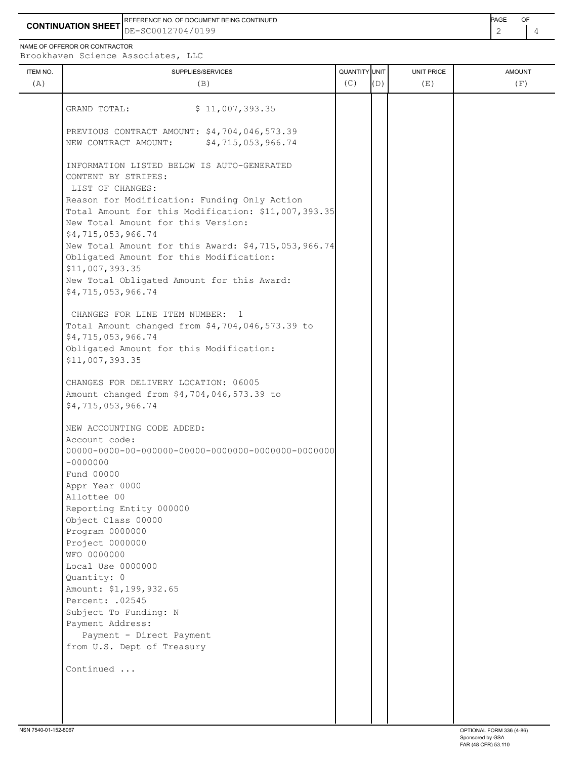**CONTINUATION SHEET** DE-SC0012704/0199 REFERENCE NO. OF DOCUMENT BEING CONTINUED **EXAMPLE A CONTINUED** 

NAME OF OFFEROR OR CONTRACTOR

| ITEM NO. | SUPPLIES/SERVICES                                                                                   | <b>QUANTITY</b> UNIT |     | UNIT PRICE | <b>AMOUNT</b> |
|----------|-----------------------------------------------------------------------------------------------------|----------------------|-----|------------|---------------|
| (A)      | (B)                                                                                                 | (C)                  | (D) | (E)        | (F)           |
|          | \$11,007,393.35<br>GRAND TOTAL:                                                                     |                      |     |            |               |
|          |                                                                                                     |                      |     |            |               |
|          | PREVIOUS CONTRACT AMOUNT: \$4,704,046,573.39                                                        |                      |     |            |               |
|          | \$4,715,053,966.74<br>NEW CONTRACT AMOUNT:                                                          |                      |     |            |               |
|          |                                                                                                     |                      |     |            |               |
|          | INFORMATION LISTED BELOW IS AUTO-GENERATED                                                          |                      |     |            |               |
|          | CONTENT BY STRIPES:                                                                                 |                      |     |            |               |
|          | LIST OF CHANGES:                                                                                    |                      |     |            |               |
|          | Reason for Modification: Funding Only Action<br>Total Amount for this Modification: \$11,007,393.35 |                      |     |            |               |
|          | New Total Amount for this Version:                                                                  |                      |     |            |               |
|          | \$4,715,053,966.74                                                                                  |                      |     |            |               |
|          | New Total Amount for this Award: \$4,715,053,966.74                                                 |                      |     |            |               |
|          | Obligated Amount for this Modification:                                                             |                      |     |            |               |
|          | \$11,007,393.35                                                                                     |                      |     |            |               |
|          | New Total Obligated Amount for this Award:                                                          |                      |     |            |               |
|          | \$4,715,053,966.74                                                                                  |                      |     |            |               |
|          |                                                                                                     |                      |     |            |               |
|          | CHANGES FOR LINE ITEM NUMBER:<br>$\overline{1}$                                                     |                      |     |            |               |
|          | Total Amount changed from \$4,704,046,573.39 to                                                     |                      |     |            |               |
|          | \$4,715,053,966.74<br>Obligated Amount for this Modification:                                       |                      |     |            |               |
|          | \$11,007,393.35                                                                                     |                      |     |            |               |
|          |                                                                                                     |                      |     |            |               |
|          | CHANGES FOR DELIVERY LOCATION: 06005                                                                |                      |     |            |               |
|          | Amount changed from \$4,704,046,573.39 to                                                           |                      |     |            |               |
|          | \$4,715,053,966.74                                                                                  |                      |     |            |               |
|          | NEW ACCOUNTING CODE ADDED:                                                                          |                      |     |            |               |
|          | Account code:                                                                                       |                      |     |            |               |
|          |                                                                                                     |                      |     |            |               |
|          | $-0000000$                                                                                          |                      |     |            |               |
|          | Fund 00000                                                                                          |                      |     |            |               |
|          | Appr Year 0000                                                                                      |                      |     |            |               |
|          | Allottee 00                                                                                         |                      |     |            |               |
|          | Reporting Entity 000000                                                                             |                      |     |            |               |
|          | Object Class 00000                                                                                  |                      |     |            |               |
|          | Program 0000000<br>Project 0000000                                                                  |                      |     |            |               |
|          | WFO 0000000                                                                                         |                      |     |            |               |
|          | Local Use 0000000                                                                                   |                      |     |            |               |
|          | Quantity: 0                                                                                         |                      |     |            |               |
|          | Amount: \$1,199,932.65                                                                              |                      |     |            |               |
|          | Percent: .02545                                                                                     |                      |     |            |               |
|          | Subject To Funding: N                                                                               |                      |     |            |               |
|          | Payment Address:                                                                                    |                      |     |            |               |
|          | Payment - Direct Payment                                                                            |                      |     |            |               |
|          | from U.S. Dept of Treasury                                                                          |                      |     |            |               |
|          | Continued                                                                                           |                      |     |            |               |
|          |                                                                                                     |                      |     |            |               |
|          |                                                                                                     |                      |     |            |               |
|          |                                                                                                     |                      |     |            |               |
|          |                                                                                                     |                      |     |            |               |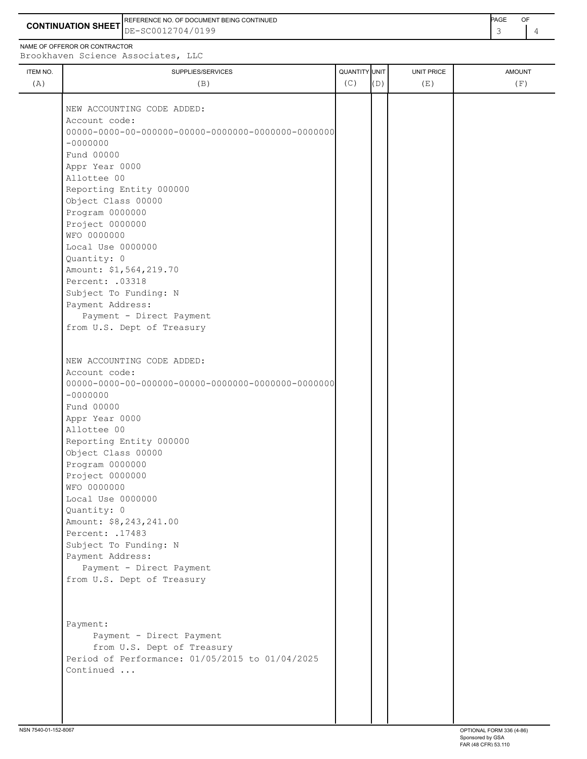**CONTINUATION SHEET** DE-SC0012704/0199 REFERENCE NO. OF DOCUMENT BEING CONTINUED **AGE ACCUMENT ACCUMENT OF A CONTINUED PAGE** OF

Appr Year 0000 Allottee 00

Local Use 0000000

Amount: \$8,243,241.00

Quantity: 0

Reporting Entity 000000 Object Class 00000 Program 0000000 Project 0000000 WFO 0000000

| ITEM NO.<br>SUPPLIES/SERVICES | QUANTITY UNIT |     | UNIT PRICE | <b>AMOUNT</b> |
|-------------------------------|---------------|-----|------------|---------------|
| (A)<br>(B)                    | (C)           | (D) | (E)        | (F)           |
| NEW ACCOUNTING CODE ADDED:    |               |     |            |               |
| Account code:                 |               |     |            |               |
|                               |               |     |            |               |
| $-0000000$                    |               |     |            |               |
| Fund 00000                    |               |     |            |               |
| Appr Year 0000                |               |     |            |               |
| Allottee 00                   |               |     |            |               |
| Reporting Entity 000000       |               |     |            |               |
| Object Class 00000            |               |     |            |               |
| Program 0000000               |               |     |            |               |
| Project 0000000               |               |     |            |               |
| WFO 0000000                   |               |     |            |               |
| Local Use 0000000             |               |     |            |               |
| Quantity: 0                   |               |     |            |               |
| Amount: \$1,564,219.70        |               |     |            |               |
| Percent: .03318               |               |     |            |               |
| Subject To Funding: N         |               |     |            |               |
| Payment Address:              |               |     |            |               |
| Payment - Direct Payment      |               |     |            |               |
| from U.S. Dept of Treasury    |               |     |            |               |
| NEW ACCOUNTING CODE ADDED:    |               |     |            |               |
| Account code:                 |               |     |            |               |
|                               |               |     |            |               |
| $-00000000$                   |               |     |            |               |
| Fund 00000                    |               |     |            |               |

Percent: .17483 Subject To Funding: N Payment Address: Payment - Direct Payment from U.S. Dept of Treasury Payment: Payment - Direct Payment from U.S. Dept of Treasury

Period of Performance: 01/05/2015 to 01/04/2025 Continued ...